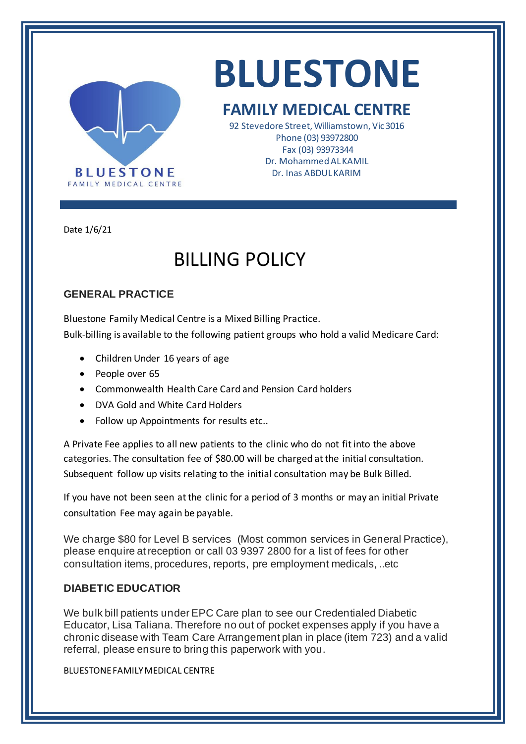

# **BLUESTONE**

### **FAMILY MEDICAL CENTRE**

92 Stevedore Street, Williamstown, Vic 3016 Phone (03) 93972800 Fax (03) 93973344 Dr. Mohammed AL KAMIL Dr. Inas ABDUL KARIM

Date 1/6/21

## BILLING POLICY

### **GENERAL PRACTICE**

Bluestone Family Medical Centre is a Mixed Billing Practice. Bulk-billing is available to the following patient groups who hold a valid Medicare Card:

- Children Under 16 years of age
- People over 65
- Commonwealth Health Care Card and Pension Card holders
- DVA Gold and White Card Holders
- Follow up Appointments for results etc..

A Private Fee applies to all new patients to the clinic who do not fit into the above categories. The consultation fee of \$80.00 will be charged at the initial consultation. Subsequent follow up visits relating to the initial consultation may be Bulk Billed.

If you have not been seen at the clinic for a period of 3 months or may an initial Private consultation Fee may again be payable.

We charge \$80 for Level B services (Most common services in General Practice), please enquire at reception or call 03 9397 2800 for a list of fees for other consultation items, procedures, reports, pre employment medicals, ..etc

#### **DIABETIC EDUCATIOR**

We bulk bill patients under EPC Care plan to see our Credentialed Diabetic Educator, Lisa Taliana. Therefore no out of pocket expenses apply if you have a chronic disease with Team Care Arrangement plan in place (item 723) and a valid referral, please ensure to bring this paperwork with you.

BLUESTONE FAMILY MEDICAL CENTRE